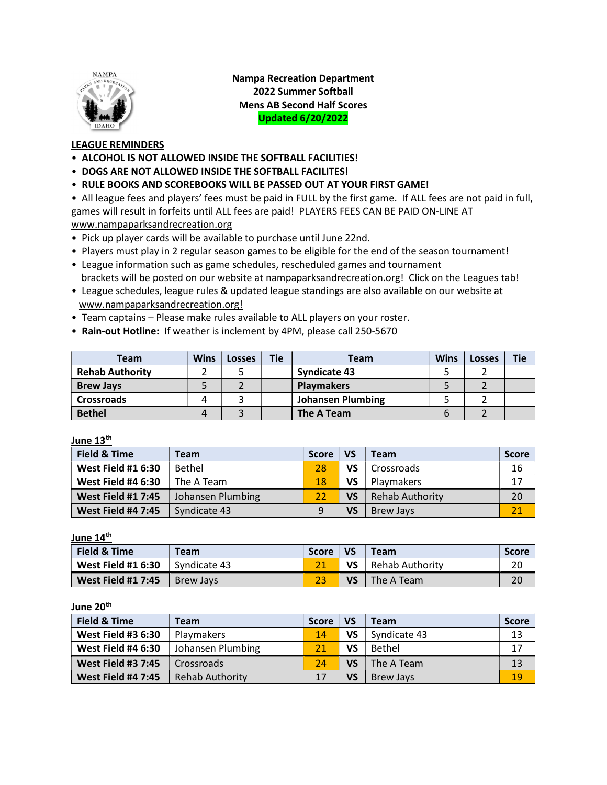

Nampa Recreation Department 2022 Summer Softball Mens AB Second Half Scores Updated 6/20/2022

## LEAGUE REMINDERS

- ALCOHOL IS NOT ALLOWED INSIDE THE SOFTBALL FACILITIES!
- DOGS ARE NOT ALLOWED INSIDE THE SOFTBALL FACILITES!
- RULE BOOKS AND SCOREBOOKS WILL BE PASSED OUT AT YOUR FIRST GAME!

• All league fees and players' fees must be paid in FULL by the first game. If ALL fees are not paid in full, games will result in forfeits until ALL fees are paid! PLAYERS FEES CAN BE PAID ON-LINE AT www.nampaparksandrecreation.org

- Pick up player cards will be available to purchase until June 22nd.
- Players must play in 2 regular season games to be eligible for the end of the season tournament!
- League information such as game schedules, rescheduled games and tournament brackets will be posted on our website at nampaparksandrecreation.org! Click on the Leagues tab!
- League schedules, league rules & updated league standings are also available on our website at www.nampaparksandrecreation.org!
- Team captains Please make rules available to ALL players on your roster.
- Rain-out Hotline: If weather is inclement by 4PM, please call 250-5670

| Team                   | <b>Wins</b> | <b>Losses</b> | <b>Tie</b> | Team                     | <b>Wins</b> | <b>Losses</b> | <b>Tie</b> |
|------------------------|-------------|---------------|------------|--------------------------|-------------|---------------|------------|
| <b>Rehab Authority</b> |             |               |            | <b>Syndicate 43</b>      |             |               |            |
| <b>Brew Jays</b>       |             |               |            | <b>Playmakers</b>        |             |               |            |
| <b>Crossroads</b>      |             |               |            | <b>Johansen Plumbing</b> |             |               |            |
| <b>Bethel</b>          |             |               |            | The A Team               |             |               |            |

## June 13<sup>th</sup>

| <b>Field &amp; Time</b>   | Team              | <b>Score</b> | <b>VS</b> | Team                   | Score |
|---------------------------|-------------------|--------------|-----------|------------------------|-------|
| <b>West Field #1 6:30</b> | Bethel            | 28           | VS        | Crossroads             | 16    |
| <b>West Field #4 6:30</b> | The A Team        | 18           | VS        | <b>Playmakers</b>      | 17    |
| <b>West Field #1 7:45</b> | Johansen Plumbing | 22           | VS        | <b>Rehab Authority</b> | 20    |
| <b>West Field #4 7:45</b> | Syndicate 43      | q            | VS        | Brew Jays              |       |

June 14<sup>th</sup>

| Field & Time              | <b>Team</b>  | <b>Score</b> | <b>VS</b> | <b>Team</b>          | <b>Score</b> |
|---------------------------|--------------|--------------|-----------|----------------------|--------------|
| <b>West Field #1 6:30</b> | Syndicate 43 |              |           | $VS$ Rehab Authority | 20           |
| <b>West Field #1 7:45</b> | Brew Javs    |              | VS        | The A Team           | 20           |

## June 20<sup>th</sup>

| Field & Time              | Team                   | <b>Score</b> | <b>VS</b> | <b>Team</b>      | <b>Score</b> |
|---------------------------|------------------------|--------------|-----------|------------------|--------------|
| <b>West Field #3 6:30</b> | Playmakers             | 14           | VS        | Syndicate 43     | 13           |
| <b>West Field #4 6:30</b> | Johansen Plumbing      | 21           | VS        | Bethel           | 17           |
| <b>West Field #3 7:45</b> | Crossroads             | 24           | VS        | The A Team       | 13           |
| <b>West Field #4 7:45</b> | <b>Rehab Authority</b> | 17           | VS        | <b>Brew Jays</b> | 19           |